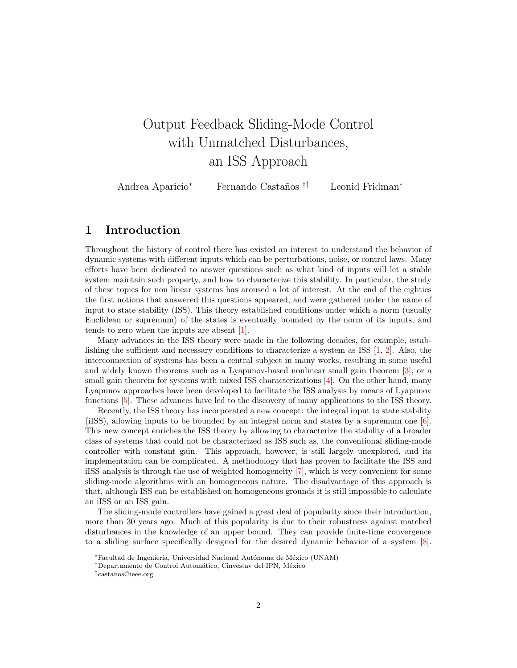# Output Feedback Sliding-Mode Control with Unmatched Disturbances, an ISS Approach

| Andrea Aparicio <sup>*</sup> | Fernando Castaños <sup>†‡</sup> | Leonid Fridman* |
|------------------------------|---------------------------------|-----------------|
|------------------------------|---------------------------------|-----------------|

#### <span id="page-0-0"></span>1 Introduction

Throughout the history of control there has existed an interest to understand the behavior of dynamic systems with different inputs which can be perturbations, noise, or control laws. Many efforts have been dedicated to answer questions such as what kind of inputs will let a stable system maintain such property, and how to characterize this stability. In particular, the study of these topics for non linear systems has aroused a lot of interest. At the end of the eighties the first notions that answered this questions appeared, and were gathered under the name of input to state stability (ISS). This theory established conditions under which a norm (usually Euclidean or supremum) of the states is eventually bounded by the norm of its inputs, and tends to zero when the inputs are absent [\[1\]](#page-17-0).

Many advances in the ISS theory were made in the following decades, for example, establishing the sufficient and necessary conditions to characterize a system as ISS [\[1,](#page-17-0) [2\]](#page-17-1). Also, the interconnection of systems has been a central subject in many works, resulting in some useful and widely known theorems such as a Lyapunov-based nonlinear small gain theorem [\[3\]](#page-17-2), or a small gain theorem for systems with mixed ISS characterizations [\[4\]](#page-17-3). On the other hand, many Lyapunov approaches have been developed to facilitate the ISS analysis by means of Lyapunov functions [\[5\]](#page-17-4). These advances have led to the discovery of many applications to the ISS theory.

Recently, the ISS theory has incorporated a new concept: the integral input to state stability (iISS), allowing inputs to be bounded by an integral norm and states by a supremum one [\[6\]](#page-17-5). This new concept enriches the ISS theory by allowing to characterize the stability of a broader class of systems that could not be characterized as ISS such as, the conventional sliding-mode controller with constant gain. This approach, however, is still largely unexplored, and its implementation can be complicated. A methodology that has proven to facilitate the ISS and iISS analysis is through the use of weighted homogeneity [\[7\]](#page-17-6), which is very convenient for some sliding-mode algorithms with an homogeneous nature. The disadvantage of this approach is that, although ISS can be established on homogeneous grounds it is still impossible to calculate an iISS or an ISS gain.

The sliding-mode controllers have gained a great deal of popularity since their introduction, more than 30 years ago. Much of this popularity is due to their robustness against matched disturbances in the knowledge of an upper bound. They can provide finite-time convergence to a sliding surface specifically designed for the desired dynamic behavior of a system [\[8\]](#page-17-7).

Facultad de Ingeniería, Universidad Nacional Autónoma de México (UNAM)

<sup>&</sup>lt;sup>†</sup>Departamento de Control Automático, Cinvestav del IPN, México

<sup>‡</sup>castanos@ieee.org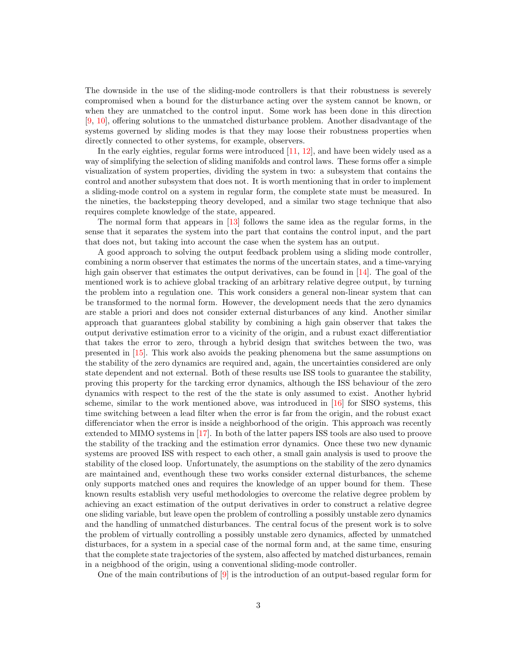The downside in the use of the sliding-mode controllers is that their robustness is severely compromised when a bound for the disturbance acting over the system cannot be known, or when they are unmatched to the control input. Some work has been done in this direction [\[9,](#page-17-8) [10\]](#page-17-9), offering solutions to the unmatched disturbance problem. Another disadvantage of the systems governed by sliding modes is that they may loose their robustness properties when directly connected to other systems, for example, observers.

In the early eighties, regular forms were introduced [\[11,](#page-17-10) [12\]](#page-17-11), and have been widely used as a way of simplifying the selection of sliding manifolds and control laws. These forms offer a simple visualization of system properties, dividing the system in two: a subsystem that contains the control and another subsystem that does not. It is worth mentioning that in order to implement a sliding-mode control on a system in regular form, the complete state must be measured. In the nineties, the backstepping theory developed, and a similar two stage technique that also requires complete knowledge of the state, appeared.

The normal form that appears in [\[13\]](#page-17-12) follows the same idea as the regular forms, in the sense that it separates the system into the part that contains the control input, and the part that does not, but taking into account the case when the system has an output.

A good approach to solving the output feedback problem using a sliding mode controller, combining a norm observer that estimates the norms of the uncertain states, and a time-varying high gain observer that estimates the output derivatives, can be found in [\[14\]](#page-18-0). The goal of the mentioned work is to achieve global tracking of an arbitrary relative degree output, by turning the problem into a regulation one. This work considers a general non-linear system that can be transformed to the normal form. However, the development needs that the zero dynamics are stable a priori and does not consider external disturbances of any kind. Another similar approach that guarantees global stability by combining a high gain observer that takes the output derivative estimation error to a vicinity of the origin, and a rubust exact differentiatior that takes the error to zero, through a hybrid design that switches between the two, was presented in [\[15\]](#page-18-1). This work also avoids the peaking phenomena but the same assumptions on the stability of the zero dynamics are required and, again, the uncertainties considered are only state dependent and not external. Both of these results use ISS tools to guarantee the stability, proving this property for the tarcking error dynamics, although the ISS behaviour of the zero dynamics with respect to the rest of the the state is only assumed to exist. Another hybrid scheme, similar to the work mentioned above, was introduced in [\[16\]](#page-18-2) for SISO systems, this time switching between a lead filter when the error is far from the origin, and the robust exact differenciator when the error is inside a neighborhood of the origin. This approach was recently extended to MIMO systems in [\[17\]](#page-18-3). In both of the latter papers ISS tools are also used to proove the stability of the tracking and the estimation error dynamics. Once these two new dynamic systems are prooved ISS with respect to each other, a small gain analysis is used to proove the stability of the closed loop. Unfortunately, the asumptions on the stability of the zero dynamics are maintained and, eventhough these two works consider external disturbances, the scheme only supports matched ones and requires the knowledge of an upper bound for them. These known results establish very useful methodologies to overcome the relative degree problem by achieving an exact estimation of the output derivatives in order to construct a relative degree one sliding variable, but leave open the problem of controlling a possibly unstable zero dynamics and the handling of unmatched disturbances. The central focus of the present work is to solve the problem of virtually controlling a possibly unstable zero dynamics, affected by unmatched disturbaces, for a system in a special case of the normal form and, at the same time, ensuring that the complete state trajectories of the system, also affected by matched disturbances, remain in a neigbhood of the origin, using a conventional sliding-mode controller.

One of the main contributions of [\[9\]](#page-17-8) is the introduction of an output-based regular form for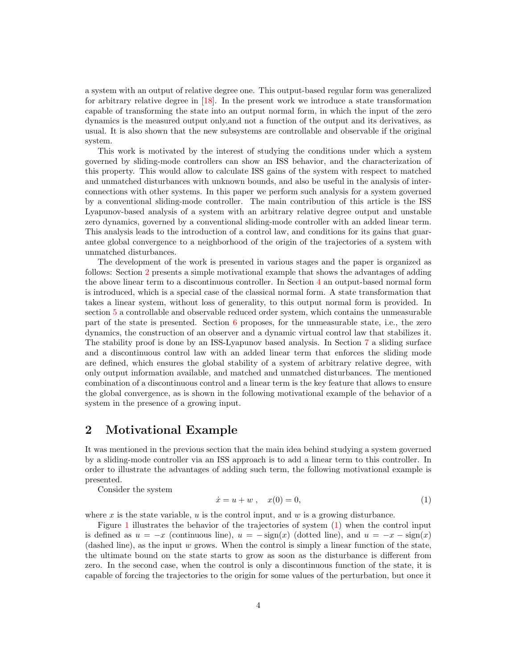a system with an output of relative degree one. This output-based regular form was generalized for arbitrary relative degree in [\[18\]](#page-18-4). In the present work we introduce a state transformation capable of transforming the state into an output normal form, in which the input of the zero dynamics is the measured output only,and not a function of the output and its derivatives, as usual. It is also shown that the new subsystems are controllable and observable if the original system.

This work is motivated by the interest of studying the conditions under which a system governed by sliding-mode controllers can show an ISS behavior, and the characterization of this property. This would allow to calculate ISS gains of the system with respect to matched and unmatched disturbances with unknown bounds, and also be useful in the analysis of interconnections with other systems. In this paper we perform such analysis for a system governed by a conventional sliding-mode controller. The main contribution of this article is the ISS Lyapunov-based analysis of a system with an arbitrary relative degree output and unstable zero dynamics, governed by a conventional sliding-mode controller with an added linear term. This analysis leads to the introduction of a control law, and conditions for its gains that guarantee global convergence to a neighborhood of the origin of the trajectories of a system with unmatched disturbances.

The development of the work is presented in various stages and the paper is organized as follows: Section [2](#page-2-0) presents a simple motivational example that shows the advantages of adding the above linear term to a discontinuous controller. In Section [4](#page-4-0) an output-based normal form is introduced, which is a special case of the classical normal form. A state transformation that takes a linear system, without loss of generality, to this output normal form is provided. In section [5](#page-5-0) a controllable and observable reduced order system, which contains the unmeasurable part of the state is presented. Section [6](#page-7-0) proposes, for the unmeasurable state, i.e., the zero dynamics, the construction of an observer and a dynamic virtual control law that stabilizes it. The stability proof is done by an ISS-Lyapunov based analysis. In Section [7](#page-8-0) a sliding surface and a discontinuous control law with an added linear term that enforces the sliding mode are defined, which ensures the global stability of a system of arbitrary relative degree, with only output information available, and matched and unmatched disturbances. The mentioned combination of a discontinuous control and a linear term is the key feature that allows to ensure the global convergence, as is shown in the following motivational example of the behavior of a system in the presence of a growing input.

#### <span id="page-2-0"></span>2 Motivational Example

It was mentioned in the previous section that the main idea behind studying a system governed by a sliding-mode controller via an ISS approach is to add a linear term to this controller. In order to illustrate the advantages of adding such term, the following motivational example is presented.

Consider the system

<span id="page-2-1"></span>
$$
\dot{x} = u + w , \quad x(0) = 0,
$$
 (1)

where  $x$  is the state variable,  $u$  is the control input, and  $w$  is a growing disturbance.

Figure [1](#page-3-0) illustrates the behavior of the trajectories of system [\(1\)](#page-2-1) when the control input is defined as  $u = -x$  (continuous line),  $u = -\text{sign}(x)$  (dotted line), and  $u = -x - \text{sign}(x)$ (dashed line), as the input w grows. When the control is simply a linear function of the state, the ultimate bound on the state starts to grow as soon as the disturbance is different from zero. In the second case, when the control is only a discontinuous function of the state, it is capable of forcing the trajectories to the origin for some values of the perturbation, but once it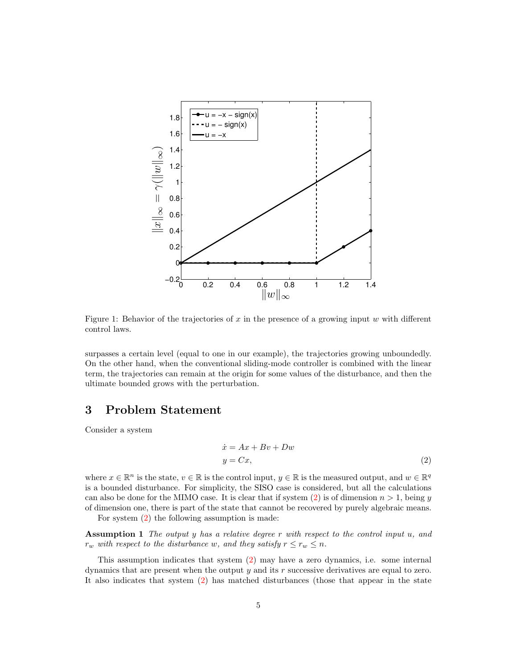

<span id="page-3-0"></span>Figure 1: Behavior of the trajectories of  $x$  in the presence of a growing input  $w$  with different control laws.

surpasses a certain level (equal to one in our example), the trajectories growing unboundedly. On the other hand, when the conventional sliding-mode controller is combined with the linear term, the trajectories can remain at the origin for some values of the disturbance, and then the ultimate bounded grows with the perturbation.

#### 3 Problem Statement

Consider a system

<span id="page-3-2"></span><span id="page-3-1"></span>
$$
\begin{aligned} \dot{x} &= Ax + Bv + Dw \\ y &= Cx, \end{aligned} \tag{2}
$$

where  $x \in \mathbb{R}^n$  is the state,  $v \in \mathbb{R}$  is the control input,  $y \in \mathbb{R}$  is the measured output, and  $w \in \mathbb{R}^q$ is a bounded disturbance. For simplicity, the SISO case is considered, but all the calculations can also be done for the MIMO case. It is clear that if system [\(2\)](#page-3-1) is of dimension  $n > 1$ , being y of dimension one, there is part of the state that cannot be recovered by purely algebraic means.

For system [\(2\)](#page-3-1) the following assumption is made:

**Assumption 1** The output y has a relative degree  $r$  with respect to the control input  $u$ , and  $r_w$  with respect to the disturbance w, and they satisfy  $r \leq r_w \leq n$ .

This assumption indicates that system [\(2\)](#page-3-1) may have a zero dynamics, i.e. some internal dynamics that are present when the output y and its r successive derivatives are equal to zero. It also indicates that system [\(2\)](#page-3-1) has matched disturbances (those that appear in the state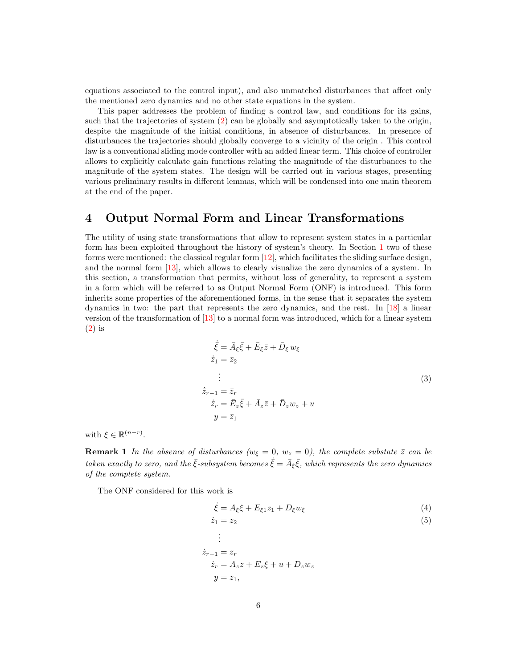equations associated to the control input), and also unmatched disturbances that affect only the mentioned zero dynamics and no other state equations in the system.

This paper addresses the problem of finding a control law, and conditions for its gains, such that the trajectories of system [\(2\)](#page-3-1) can be globally and asymptotically taken to the origin, despite the magnitude of the initial conditions, in absence of disturbances. In presence of disturbances the trajectories should globally converge to a vicinity of the origin . This control law is a conventional sliding mode controller with an added linear term. This choice of controller allows to explicitly calculate gain functions relating the magnitude of the disturbances to the magnitude of the system states. The design will be carried out in various stages, presenting various preliminary results in different lemmas, which will be condensed into one main theorem at the end of the paper.

#### <span id="page-4-0"></span>4 Output Normal Form and Linear Transformations

The utility of using state transformations that allow to represent system states in a particular form has been exploited throughout the history of system's theory. In Section [1](#page-0-0) two of these forms were mentioned: the classical regular form  $[12]$ , which facilitates the sliding surface design, and the normal form [\[13\]](#page-17-12), which allows to clearly visualize the zero dynamics of a system. In this section, a transformation that permits, without loss of generality, to represent a system in a form which will be referred to as Output Normal Form (ONF) is introduced. This form inherits some properties of the aforementioned forms, in the sense that it separates the system dynamics in two: the part that represents the zero dynamics, and the rest. In [\[18\]](#page-18-4) a linear version of the transformation of [\[13\]](#page-17-12) to a normal form was introduced, which for a linear system [\(2\)](#page-3-1) is

<span id="page-4-1"></span>
$$
\dot{\bar{\xi}} = \bar{A}_{\xi}\bar{\xi} + \bar{E}_{\xi}\bar{z} + \bar{D}_{\xi}w_{\xi}
$$
\n
$$
\dot{\bar{z}}_1 = \bar{z}_2
$$
\n
$$
\vdots
$$
\n
$$
\dot{\bar{z}}_{r-1} = \bar{z}_r
$$
\n
$$
\dot{\bar{z}}_r = \bar{E}_z\bar{\xi} + \bar{A}_z\bar{z} + \bar{D}_zw_z + u
$$
\n
$$
y = \bar{z}_1
$$
\n(3)

with  $\xi \in \mathbb{R}^{(n-r)}$ .

**Remark 1** In the absence of disturbances ( $w_{\xi} = 0$ ,  $w_z = 0$ ), the complete substate  $\overline{z}$  can be taken exactly to zero, and the  $\bar{\xi}$ -subsystem becomes  $\dot{\bar{\xi}} = \bar{A}_{\xi} \bar{\xi}$ , which represents the zero dynamics of the complete system.

The ONF considered for this work is

<span id="page-4-3"></span><span id="page-4-2"></span>
$$
\dot{\xi} = A_{\xi}\xi + E_{\xi 1}z_1 + D_{\xi}w_{\xi}
$$
\n<sup>(4)</sup>

$$
\dot{z}_1 = z_2 \tag{5}
$$

$$
\begin{aligned}\n&\vdots\\ \n\dot{z}_{r-1} &= z_r\\ \n\dot{z}_r &= A_z z + E_z \xi + u + D_z w_z\\ \ny &= z_1,\n\end{aligned}
$$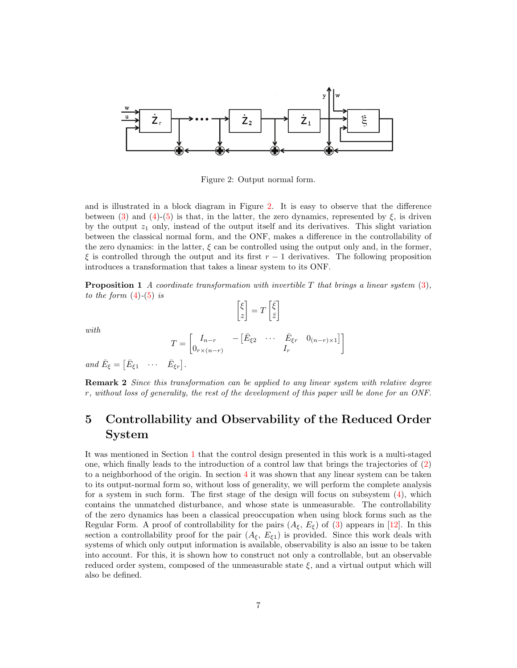

<span id="page-5-1"></span>Figure 2: Output normal form.

and is illustrated in a block diagram in Figure [2.](#page-5-1) It is easy to observe that the difference between [\(3\)](#page-4-1) and [\(4\)](#page-4-2)-[\(5\)](#page-4-3) is that, in the latter, the zero dynamics, represented by  $\xi$ , is driven by the output  $z_1$  only, instead of the output itself and its derivatives. This slight variation between the classical normal form, and the ONF, makes a difference in the controllability of the zero dynamics: in the latter,  $\xi$  can be controlled using the output only and, in the former,  $\xi$  is controlled through the output and its first  $r - 1$  derivatives. The following proposition introduces a transformation that takes a linear system to its ONF.

**Proposition 1** A coordinate transformation with invertible  $T$  that brings a linear system  $(3)$ . to the form  $(4)-(5)$  $(4)-(5)$  $(4)-(5)$  is

$$
\begin{bmatrix} \xi \\ z \end{bmatrix} = T \begin{bmatrix} \bar{\xi} \\ \bar{z} \end{bmatrix}
$$

with

$$
T = \begin{bmatrix} I_{n-r} & -\left[\bar{E}_{\xi 2} & \cdots & \bar{E}_{\xi r} & 0_{(n-r) \times 1}\right] \\ 0_{r \times (n-r)} & I_r \end{bmatrix}
$$

and  $\bar{E}_{\xi} = \begin{bmatrix} \bar{E}_{\xi 1} & \cdots & \bar{E}_{\xi r} \end{bmatrix}$ .

Remark 2 Since this transformation can be applied to any linear system with relative degree r, without loss of generality, the rest of the development of this paper will be done for an ONF.

## <span id="page-5-0"></span>5 Controllability and Observability of the Reduced Order System

It was mentioned in Section [1](#page-0-0) that the control design presented in this work is a multi-staged one, which finally leads to the introduction of a control law that brings the trajectories of [\(2\)](#page-3-1) to a neighborhood of the origin. In section  $4$  it was shown that any linear system can be taken to its output-normal form so, without loss of generality, we will perform the complete analysis for a system in such form. The first stage of the design will focus on subsystem  $(4)$ , which contains the unmatched disturbance, and whose state is unmeasurable. The controllability of the zero dynamics has been a classical preoccupation when using block forms such as the Regular Form. A proof of controllability for the pairs  $(A_{\xi}, E_{\xi})$  of [\(3\)](#page-4-1) appears in [\[12\]](#page-17-11). In this section a controllability proof for the pair  $(A_{\xi}, E_{\xi1})$  is provided. Since this work deals with systems of which only output information is available, observability is also an issue to be taken into account. For this, it is shown how to construct not only a controllable, but an observable reduced order system, composed of the unmeasurable state  $\xi$ , and a virtual output which will also be defined.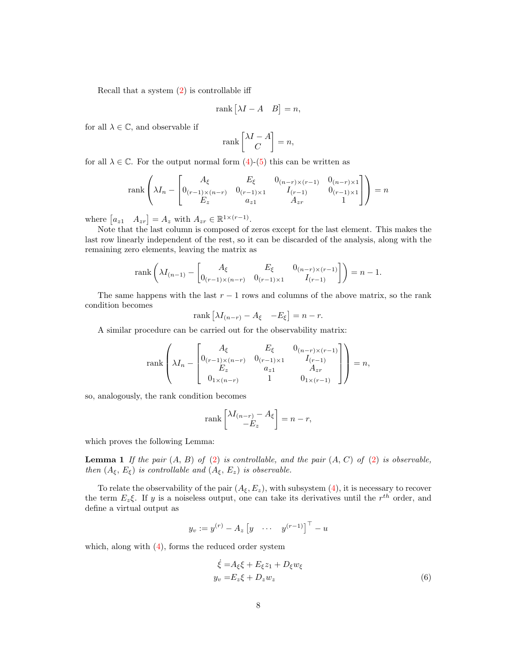Recall that a system [\(2\)](#page-3-1) is controllable iff

$$
rank [\lambda I - A \quad B] = n,
$$

for all  $\lambda \in \mathbb{C}$ , and observable if

$$
\operatorname{rank}\begin{bmatrix} \lambda I - A \\ C \end{bmatrix} = n,
$$

for all  $\lambda \in \mathbb{C}$ . For the output normal form  $(4)-(5)$  $(4)-(5)$  $(4)-(5)$  this can be written as

rank 
$$
\left(\lambda I_n - \begin{bmatrix} A_{\xi} & E_{\xi} & 0_{(n-r)\times(r-1)} & 0_{(n-r)\times 1} \\ 0_{(r-1)\times(n-r)} & 0_{(r-1)\times 1} & I_{(r-1)} & 0_{(r-1)\times 1} \\ E_z & a_{z1} & A_{zr} & 1 \end{bmatrix}\right) = n
$$

where  $[a_{z1} \quad A_{zr}] = A_z$  with  $A_{zr} \in \mathbb{R}^{1 \times (r-1)}$ .

Note that the last column is composed of zeros except for the last element. This makes the last row linearly independent of the rest, so it can be discarded of the analysis, along with the remaining zero elements, leaving the matrix as

rank 
$$
\left( \lambda I_{(n-1)} - \begin{bmatrix} A_{\xi} & E_{\xi} & 0_{(n-r)\times(r-1)} \\ 0_{(r-1)\times(n-r)} & 0_{(r-1)\times 1} & I_{(r-1)} \end{bmatrix} \right) = n-1.
$$

The same happens with the last  $r - 1$  rows and columns of the above matrix, so the rank condition becomes

$$
rank [\lambda I_{(n-r)} - A_{\xi} - E_{\xi}] = n - r.
$$

A similar procedure can be carried out for the observability matrix:

rank 
$$
\left(\lambda I_n - \begin{bmatrix} A_{\xi} & E_{\xi} & 0_{(n-r)\times(r-1)} \\ 0_{(r-1)\times(n-r)} & 0_{(r-1)\times1} & I_{(r-1)} \\ E_z & a_{z1} & A_{zr} \\ 0_{1\times(n-r)} & 1 & 0_{1\times(r-1)} \end{bmatrix}\right) = n
$$
,

so, analogously, the rank condition becomes

$$
\operatorname{rank}\begin{bmatrix} \lambda I_{(n-r)} - A_{\xi} \\ -E_z \end{bmatrix} = n - r,
$$

which proves the following Lemma:

**Lemma 1** If the pair  $(A, B)$  of  $(2)$  is controllable, and the pair  $(A, C)$  of  $(2)$  is observable, then  $(A_{\xi}, E_{\xi})$  is controllable and  $(A_{\xi}, E_{z})$  is observable.

To relate the observability of the pair  $(A_\xi, E_z)$ , with subsystem  $(4)$ , it is necessary to recover the term  $E_z \xi$ . If y is a noiseless output, one can take its derivatives until the  $r^{th}$  order, and define a virtual output as

$$
y_v := y^{(r)} - A_z \begin{bmatrix} y & \cdots & y^{(r-1)} \end{bmatrix}^\top - u
$$

<span id="page-6-1"></span>which, along with  $(4)$ , forms the reduced order system

<span id="page-6-0"></span>
$$
\dot{\xi} = A_{\xi}\xi + E_{\xi}z_1 + D_{\xi}w_{\xi}
$$
  
\n
$$
y_v = E_z\xi + D_zw_z
$$
\n(6)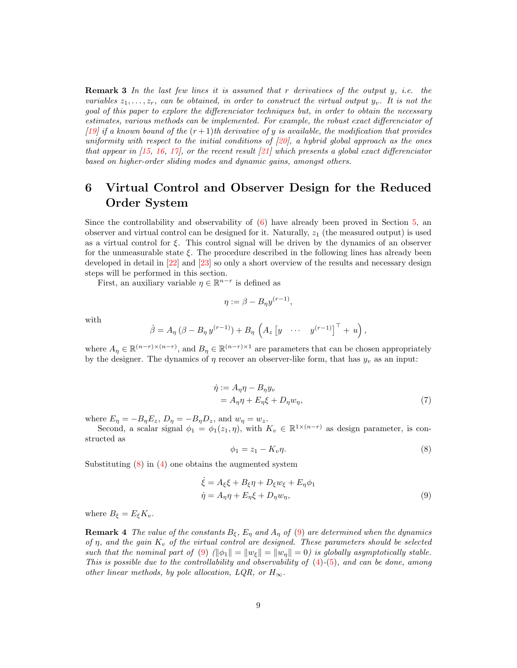**Remark 3** In the last few lines it is assumed that r derivatives of the output  $y$ , i.e. the variables  $z_1, \ldots, z_r$ , can be obtained, in order to construct the virtual output  $y_v$ . It is not the goal of this paper to explore the differenciator techniques but, in order to obtain the necessary estimates, various methods can be implemented. For example, the robust exact differenciator of [\[19\]](#page-18-5) if a known bound of the  $(r+1)$ th derivative of y is available, the modification that provides uniformity with respect to the initial conditions of  $[20]$ , a hybrid global approach as the ones that appear in  $[15, 16, 17]$  $[15, 16, 17]$  $[15, 16, 17]$  $[15, 16, 17]$  $[15, 16, 17]$ , or the recent result  $[21]$  which presents a global exact differenciator based on higher-order sliding modes and dynamic gains, amongst others.

## <span id="page-7-0"></span>6 Virtual Control and Observer Design for the Reduced Order System

Since the controllability and observability of [\(6\)](#page-6-0) have already been proved in Section [5,](#page-5-0) an observer and virtual control can be designed for it. Naturally,  $z_1$  (the measured output) is used as a virtual control for  $\xi$ . This control signal will be driven by the dynamics of an observer for the unmeasurable state  $\xi$ . The procedure described in the following lines has already been developed in detail in [\[22\]](#page-18-8) and [\[23\]](#page-18-9) so only a short overview of the results and necessary design steps will be performed in this section.

First, an auxiliary variable  $\eta \in \mathbb{R}^{n-r}$  is defined as

$$
\eta := \beta - B_{\eta} y^{(r-1)}
$$

,

with

$$
\dot{\beta} = A_{\eta} \left( \beta - B_{\eta} y^{(r-1)} \right) + B_{\eta} \left( A_z \left[ y \cdots y^{(r-1)} \right]^\top + u \right),
$$

where  $A_{\eta} \in \mathbb{R}^{(n-r)\times (n-r)}$ , and  $B_{\eta} \in \mathbb{R}^{(n-r)\times 1}$  are parameters that can be chosen appropriately by the designer. The dynamics of  $\eta$  recover an observer-like form, that has  $y_v$  as an input:

$$
\dot{\eta} := A_{\eta}\eta - B_{\eta}y_v
$$
  
=  $A_{\eta}\eta + E_{\eta}\xi + D_{\eta}w_{\eta},$  (7)

where  $E_{\eta} = -B_{\eta}E_z$ ,  $D_{\eta} = -B_{\eta}D_z$ , and  $w_{\eta} = w_z$ .

Second, a scalar signal  $\phi_1 = \phi_1(z_1, \eta)$ , with  $K_v \in \mathbb{R}^{1 \times (n-r)}$  as design parameter, is constructed as

<span id="page-7-2"></span><span id="page-7-1"></span>
$$
\phi_1 = z_1 - K_v \eta. \tag{8}
$$

Substituting  $(8)$  in  $(4)$  one obtains the augmented system

$$
\dot{\xi} = A_{\xi}\xi + B_{\xi}\eta + D_{\xi}w_{\xi} + E_{\eta}\phi_1
$$
  
\n
$$
\dot{\eta} = A_{\eta}\eta + E_{\eta}\xi + D_{\eta}w_{\eta},
$$
\n(9)

where  $B_{\xi} = E_{\xi} K_v$ .

**Remark 4** The value of the constants  $B_{\xi}$ ,  $E_{\eta}$  and  $A_{\eta}$  of [\(9\)](#page-7-2) are determined when the dynamics of  $\eta$ , and the gain  $K_v$  of the virtual control are designed. These parameters should be selected such that the nominal part of [\(9\)](#page-7-2)  $(\|\phi_1\| = \|w_f\| = 0)$  is globally asymptotically stable. This is possible due to the controllability and observability of  $(4)-(5)$  $(4)-(5)$  $(4)-(5)$ , and can be done, among other linear methods, by pole allocation, LQR, or  $H_{\infty}$ .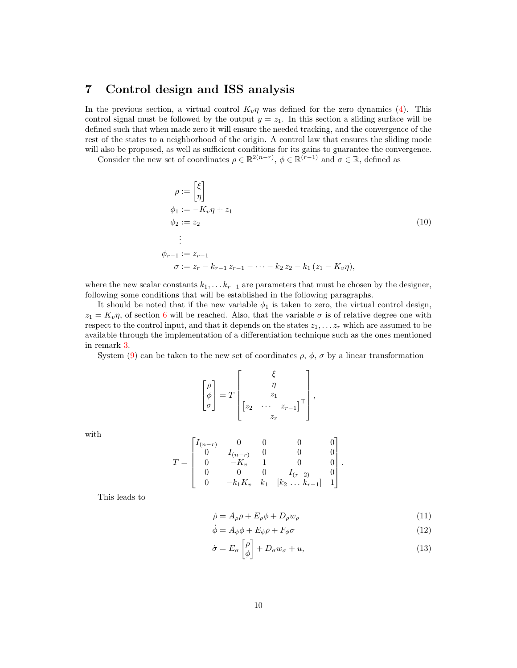#### <span id="page-8-0"></span>7 Control design and ISS analysis

In the previous section, a virtual control  $K_v \eta$  was defined for the zero dynamics [\(4\)](#page-4-2). This control signal must be followed by the output  $y = z<sub>1</sub>$ . In this section a sliding surface will be defined such that when made zero it will ensure the needed tracking, and the convergence of the rest of the states to a neighborhood of the origin. A control law that ensures the sliding mode will also be proposed, as well as sufficient conditions for its gains to guarantee the convergence.

Consider the new set of coordinates  $\rho \in \mathbb{R}^{2(n-r)}$ ,  $\phi \in \mathbb{R}^{(r-1)}$  and  $\sigma \in \mathbb{R}$ , defined as

<span id="page-8-4"></span>
$$
\rho := \begin{bmatrix} \xi \\ \eta \end{bmatrix}
$$
  
\n
$$
\phi_1 := -K_v \eta + z_1
$$
  
\n
$$
\phi_2 := z_2
$$
  
\n
$$
\vdots
$$
  
\n
$$
\phi_{r-1} := z_{r-1}
$$
  
\n
$$
\sigma := z_r - k_{r-1} z_{r-1} - \dots - k_2 z_2 - k_1 (z_1 - K_v \eta),
$$
  
\n(10)

where the new scalar constants  $k_1, \ldots k_{r-1}$  are parameters that must be chosen by the designer, following some conditions that will be established in the following paragraphs.

It should be noted that if the new variable  $\phi_1$  is taken to zero, the virtual control design,  $z_1 = K_v \eta$ , of section [6](#page-7-0) will be reached. Also, that the variable  $\sigma$  is of relative degree one with respect to the control input, and that it depends on the states  $z_1, \ldots z_r$  which are assumed to be available through the implementation of a differentiation technique such as the ones mentioned in remark [3.](#page-6-1)

System [\(9\)](#page-7-2) can be taken to the new set of coordinates  $\rho$ ,  $\phi$ ,  $\sigma$  by a linear transformation

$$
\begin{bmatrix} \rho \\ \phi \\ \sigma \end{bmatrix} = T \begin{bmatrix} \xi \\ \eta \\ z_1 \\ z_2 \\ \cdots \\ z_r \end{bmatrix},
$$

with

$$
T = \begin{bmatrix} I_{(n-r)} & 0 & 0 & 0 & 0 \\ 0 & I_{(n-r)} & 0 & 0 & 0 \\ 0 & -K_v & 1 & 0 & 0 \\ 0 & 0 & 0 & I_{(r-2)} & 0 \\ 0 & -k_1K_v & k_1 & [k_2 \dots k_{r-1}] & 1 \end{bmatrix}.
$$

This leads to

<span id="page-8-3"></span><span id="page-8-2"></span><span id="page-8-1"></span>
$$
\dot{\rho} = A_{\rho}\rho + E_{\rho}\phi + D_{\rho}w_{\rho} \tag{11}
$$

$$
\dot{\phi} = A_{\phi}\phi + E_{\phi}\rho + F_{\phi}\sigma \tag{12}
$$

$$
\dot{\sigma} = E_{\sigma} \left[ \begin{matrix} \rho \\ \phi \end{matrix} \right] + D_{\sigma} w_{\sigma} + u, \qquad (13)
$$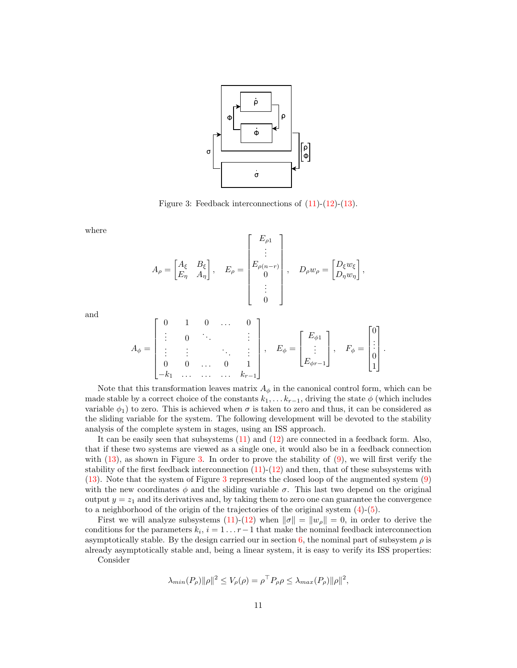

<span id="page-9-0"></span>Figure 3: Feedback interconnections of  $(11)-(12)-(13)$  $(11)-(12)-(13)$  $(11)-(12)-(13)$  $(11)-(12)-(13)$  $(11)-(12)-(13)$ .

where

$$
A_{\rho} = \begin{bmatrix} A_{\xi} & B_{\xi} \\ E_{\eta} & A_{\eta} \end{bmatrix}, \quad E_{\rho} = \begin{bmatrix} E_{\rho 1} \\ \vdots \\ E_{\rho (n-r)} \\ 0 \\ \vdots \\ 0 \end{bmatrix}, \quad D_{\rho} w_{\rho} = \begin{bmatrix} D_{\xi} w_{\xi} \\ D_{\eta} w_{\eta} \end{bmatrix},
$$

and

$$
A_{\phi} = \begin{bmatrix} 0 & 1 & 0 & \dots & 0 \\ \vdots & 0 & \ddots & & \vdots \\ \vdots & \vdots & & \ddots & \vdots \\ 0 & 0 & \dots & 0 & 1 \\ -k_1 & \dots & \dots & \dots & k_{r-1} \end{bmatrix}, \quad E_{\phi} = \begin{bmatrix} E_{\phi 1} \\ \vdots \\ E_{\phi r-1} \end{bmatrix}, \quad F_{\phi} = \begin{bmatrix} 0 \\ \vdots \\ 0 \\ 1 \end{bmatrix}.
$$

Note that this transformation leaves matrix  $A_{\phi}$  in the canonical control form, which can be made stable by a correct choice of the constants  $k_1, \ldots, k_{r-1}$ , driving the state  $\phi$  (which includes variable  $\phi_1$ ) to zero. This is achieved when  $\sigma$  is taken to zero and thus, it can be considered as the sliding variable for the system. The following development will be devoted to the stability analysis of the complete system in stages, using an ISS approach.

It can be easily seen that subsystems [\(11\)](#page-8-1) and [\(12\)](#page-8-2) are connected in a feedback form. Also, that if these two systems are viewed as a single one, it would also be in a feedback connection with  $(13)$ , as shown in Figure [3.](#page-9-0) In order to prove the stability of  $(9)$ , we will first verify the stability of the first feedback interconnection  $(11)-(12)$  $(11)-(12)$  $(11)-(12)$  and then, that of these subsystems with [\(13\)](#page-8-3). Note that the system of Figure [3](#page-9-0) represents the closed loop of the augmented system [\(9\)](#page-7-2) with the new coordinates  $\phi$  and the sliding variable  $\sigma$ . This last two depend on the original output  $y = z<sub>1</sub>$  and its derivatives and, by taking them to zero one can guarantee the convergence to a neighborhood of the origin of the trajectories of the original system [\(4\)](#page-4-2)-[\(5\)](#page-4-3).

First we will analyze subsystems [\(11\)](#page-8-1)-[\(12\)](#page-8-2) when  $\|\sigma\| = \|w_{\rho}\| = 0$ , in order to derive the conditions for the parameters  $k_i$ ,  $i = 1 \ldots r-1$  that make the nominal feedback interconnection asymptotically stable. By the design carried our in section [6,](#page-7-0) the nominal part of subsystem  $\rho$  is already asymptotically stable and, being a linear system, it is easy to verify its ISS properties: Consider

$$
\lambda_{min}(P_{\rho})\|\rho\|^2 \le V_{\rho}(\rho) = \rho^{\top} P_{\rho}\rho \le \lambda_{max}(P_{\rho})\|\rho\|^2,
$$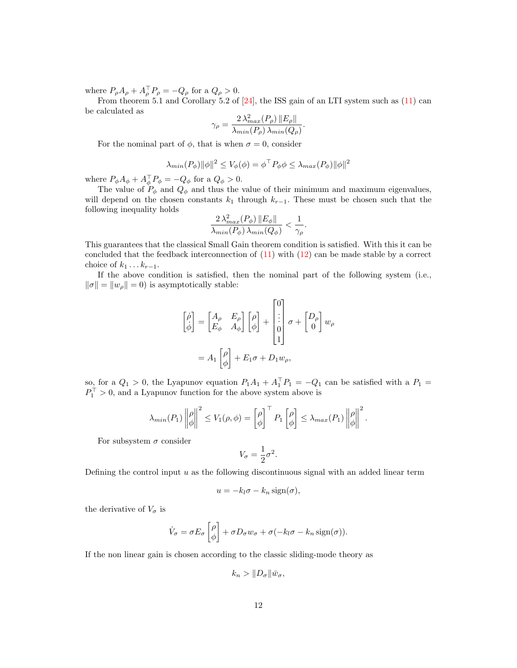where  $P_{\rho}A_{\rho} + A_{\rho}^{\dagger}P_{\rho} = -Q_{\rho}$  for a  $Q_{\rho} > 0$ .

From theorem 5.1 and Corollary 5.2 of [\[24\]](#page-18-10), the ISS gain of an LTI system such as [\(11\)](#page-8-1) can be calculated as

$$
\gamma_{\rho} = \frac{2 \lambda_{max}^2(P_{\rho}) \left\| E_{\rho} \right\|}{\lambda_{min}(P_{\rho}) \lambda_{min}(Q_{\rho})}.
$$

For the nominal part of  $\phi$ , that is when  $\sigma = 0$ , consider

$$
\lambda_{min}(P_{\phi}) \|\phi\|^2 \le V_{\phi}(\phi) = \phi^{\top} P_{\phi} \phi \le \lambda_{max}(P_{\phi}) \|\phi\|^2
$$

where  $P_{\phi}A_{\phi} + A_{\phi}^{\dagger}P_{\phi} = -Q_{\phi}$  for a  $Q_{\phi} > 0$ .

The value of  $P_{\phi}$  and  $Q_{\phi}$  and thus the value of their minimum and maximum eigenvalues, will depend on the chosen constants  $k_1$  through  $k_{r-1}$ . These must be chosen such that the following inequality holds

$$
\frac{2\lambda_{max}^2(P_{\phi})\left\|E_{\phi}\right\|}{\lambda_{min}(P_{\phi})\lambda_{min}(Q_{\phi})} < \frac{1}{\gamma_{\rho}}.
$$

This guarantees that the classical Small Gain theorem condition is satisfied. With this it can be concluded that the feedback interconnection of  $(11)$  with  $(12)$  can be made stable by a correct choice of  $k_1 \ldots k_{r-1}$ .

If the above condition is satisfied, then the nominal part of the following system (i.e.,  $\|\sigma\| = \|w_\rho\| = 0$ ) is asymptotically stable:

$$
\begin{aligned}\n\begin{bmatrix} \dot{\rho} \\ \dot{\phi} \end{bmatrix} &= \begin{bmatrix} A_{\rho} & E_{\rho} \\ E_{\phi} & A_{\phi} \end{bmatrix} \begin{bmatrix} \rho \\ \phi \end{bmatrix} + \begin{bmatrix} 0 \\ \vdots \\ 0 \\ 1 \end{bmatrix} \sigma + \begin{bmatrix} D_{\rho} \\ 0 \end{bmatrix} w_{\rho} \\
&= A_1 \begin{bmatrix} \rho \\ \phi \end{bmatrix} + E_1 \sigma + D_1 w_{\rho},\n\end{aligned}
$$

so, for a  $Q_1 > 0$ , the Lyapunov equation  $P_1A_1 + A_1^{\dagger}P_1 = -Q_1$  can be satisfied with a  $P_1 =$  $P_1^+ > 0$ , and a Lyapunov function for the above system above is

$$
\lambda_{min}(P_1) \left\| \begin{matrix} \rho \\ \phi \end{matrix} \right\|^2 \le V_1(\rho, \phi) = \begin{bmatrix} \rho \\ \phi \end{bmatrix}^\top P_1 \begin{bmatrix} \rho \\ \phi \end{bmatrix} \le \lambda_{max}(P_1) \left\| \begin{matrix} \rho \\ \phi \end{matrix} \right\|^2.
$$

For subsystem  $\sigma$  consider

$$
V_{\sigma} = \frac{1}{2}\sigma^2.
$$

Defining the control input  $u$  as the following discontinuous signal with an added linear term

$$
u = -k_l \sigma - k_n \operatorname{sign}(\sigma),
$$

the derivative of  $V_{\sigma}$  is

$$
\dot{V}_{\sigma} = \sigma E_{\sigma} \left[ \rho \right] + \sigma D_{\sigma} w_{\sigma} + \sigma (-k_l \sigma - k_n \operatorname{sign}(\sigma)).
$$

If the non linear gain is chosen according to the classic sliding-mode theory as

$$
k_n > \|D_{\sigma}\|\bar{w}_{\sigma},
$$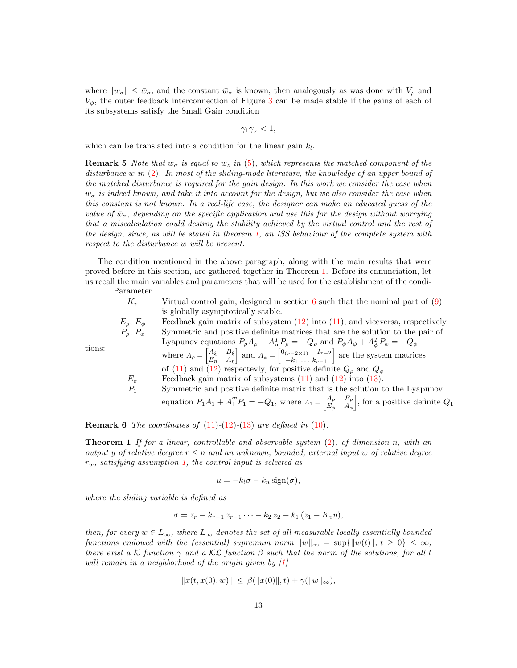where  $\|w_{\sigma}\| \leq \bar{w}_{\sigma}$ , and the constant  $\bar{w}_{\sigma}$  is known, then analogously as was done with  $V_{\rho}$  and  $V_{\phi}$ , the outer feedback interconnection of Figure [3](#page-9-0) can be made stable if the gains of each of its subsystems satisfy the Small Gain condition

$$
\gamma_1\gamma_\sigma<1,
$$

which can be translated into a condition for the linear gain  $k_l$ .

**Remark 5** Note that  $w_{\sigma}$  is equal to  $w_z$  in [\(5\)](#page-4-3), which represents the matched component of the disturbance w in [\(2\)](#page-3-1). In most of the sliding-mode literature, the knowledge of an upper bound of the matched disturbance is required for the gain design. In this work we consider the case when  $\bar{w}_{\sigma}$  is indeed known, and take it into account for the design, but we also consider the case when this constant is not known. In a real-life case, the designer can make an educated guess of the value of  $\bar{w}_{\sigma}$ , depending on the specific application and use this for the design without worrying that a miscalculation could destroy the stability achieved by the virtual control and the rest of the design, since, as will be stated in theorem [1,](#page-11-0) an ISS behaviour of the complete system with respect to the disturbance w will be present.

The condition mentioned in the above paragraph, along with the main results that were proved before in this section, are gathered together in Theorem [1.](#page-11-0) Before its ennunciation, let us recall the main variables and parameters that will be used for the establishment of the condi-Parameter

|        | т агашсын                                                                            |                                                                                                                                                                                                                        |  |  |  |
|--------|--------------------------------------------------------------------------------------|------------------------------------------------------------------------------------------------------------------------------------------------------------------------------------------------------------------------|--|--|--|
|        | $K_v$                                                                                | Virtual control gain, designed in section 6 such that the nominal part of $(9)$                                                                                                                                        |  |  |  |
| tions: |                                                                                      | is globally asymptotically stable.                                                                                                                                                                                     |  |  |  |
|        | $E_{\rho}, E_{\phi}$                                                                 | Feedback gain matrix of subsystem $(12)$ into $(11)$ , and viceversa, respectively.                                                                                                                                    |  |  |  |
|        | $P_{\rho}, P_{\phi}$                                                                 | Symmetric and positive definite matrices that are the solution to the pair of                                                                                                                                          |  |  |  |
|        |                                                                                      | Lyapunov equations $P_{\rho}A_{\rho} + A_{\rho}^{T}P_{\rho} = -Q_{\rho}$ and $P_{\phi}A_{\phi} + A_{\phi}^{T}P_{\phi} = -Q_{\phi}$                                                                                     |  |  |  |
|        |                                                                                      | where $A_{\rho} = \begin{bmatrix} A_{\xi} & B_{\xi} \\ E_{\eta} & A_{\eta} \end{bmatrix}$ and $A_{\phi} = \begin{bmatrix} 0_{(r-2\times 1)} & I_{r-2} \\ -k_1 & \dots & k_{r-1} \end{bmatrix}$ are the system matrices |  |  |  |
|        |                                                                                      | of (11) and (12) respectevly, for positive definite $Q_{\rho}$ and $Q_{\phi}$ .                                                                                                                                        |  |  |  |
|        | $E_{\sigma}$                                                                         | Feedback gain matrix of subsystems $(11)$ and $(12)$ into $(13)$ .                                                                                                                                                     |  |  |  |
|        | Symmetric and positive definite matrix that is the solution to the Lyapunov<br>$P_1$ |                                                                                                                                                                                                                        |  |  |  |
|        |                                                                                      | equation $P_1A_1 + A_1^T P_1 = -Q_1$ , where $A_1 = \begin{bmatrix} A_\rho & E_\rho \\ E_\phi & A_\phi \end{bmatrix}$ , for a positive definite $Q_1$ .                                                                |  |  |  |
|        |                                                                                      |                                                                                                                                                                                                                        |  |  |  |

**Remark 6** The coordinates of  $(11)-(12)-(13)$  $(11)-(12)-(13)$  $(11)-(12)-(13)$  $(11)-(12)-(13)$  $(11)-(12)-(13)$  are defined in  $(10)$ .

<span id="page-11-0"></span>**Theorem 1** If for a linear, controllable and observable system  $(2)$ , of dimension n, with an output y of relative deegree  $r \leq n$  and an unknown, bounded, external input w of relative degree  $r_w$ , satisfying assumption [1,](#page-3-2) the control input is selected as

$$
u = -k_l \sigma - k_n \operatorname{sign}(\sigma),
$$

where the sliding variable is defined as

$$
\sigma = z_r - k_{r-1} z_{r-1} \cdots - k_2 z_2 - k_1 (z_1 - K_v \eta),
$$

then, for every  $w \in L_{\infty}$ , where  $L_{\infty}$  denotes the set of all measurable locally essentially bounded functions endowed with the (essential) supremum norm  $||w||_{\infty} = \sup{||w(t)||, t \geq 0} \leq \infty$ , there exist a K function  $\gamma$  and a KL function  $\beta$  such that the norm of the solutions, for all t will remain in a neighborhood of the origin given by [\[1\]](#page-17-0)

$$
||x(t, x(0), w)|| \leq \beta(||x(0)||, t) + \gamma(||w||_{\infty}),
$$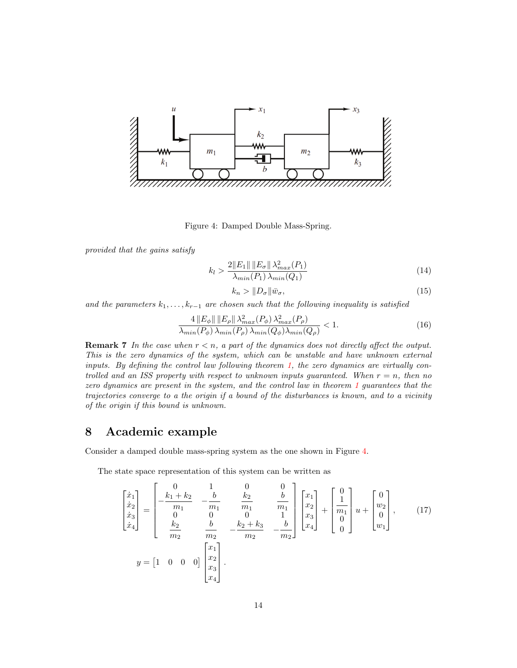

<span id="page-12-0"></span>Figure 4: Damped Double Mass-Spring.

provided that the gains satisfy

<span id="page-12-3"></span>
$$
k_l > \frac{2||E_1|| ||E_\sigma|| \lambda_{max}^2(P_1)}{\lambda_{min}(P_1) \lambda_{min}(Q_1)}
$$
(14)

<span id="page-12-4"></span><span id="page-12-1"></span>
$$
k_n > \|D_{\sigma}\|\bar{w}_{\sigma},\tag{15}
$$

and the parameters  $k_1, \ldots, k_{r-1}$  are chosen such that the following inequality is satisfied

<span id="page-12-2"></span>
$$
\frac{4\left\|E_{\phi}\right\| \left\|E_{\rho}\right\| \lambda_{max}^2(P_{\phi}) \lambda_{max}^2(P_{\rho})}{\lambda_{min}(P_{\phi}) \lambda_{min}(P_{\rho}) \lambda_{min}(Q_{\phi}) \lambda_{min}(Q_{\rho})} < 1.
$$
\n(16)

**Remark 7** In the case when  $r < n$ , a part of the dynamics does not directly affect the output. This is the zero dynamics of the system, which can be unstable and have unknown external inputs. By defining the control law following theorem [1,](#page-11-0) the zero dynamics are virtually controlled and an ISS property with respect to unknown inputs guaranteed. When  $r = n$ , then no zero dynamics are present in the system, and the control law in theorem [1](#page-11-0) guarantees that the trajectories converge to a the origin if a bound of the disturbances is known, and to a vicinity of the origin if this bound is unknown.

### 8 Academic example

Consider a damped double mass-spring system as the one shown in Figure [4.](#page-12-0)

The state space representation of this system can be written as

$$
\begin{bmatrix} \dot{x}_1 \\ \dot{x}_2 \\ \dot{x}_3 \\ \dot{x}_4 \end{bmatrix} = \begin{bmatrix} 0 & 1 & 0 & 0 \\ -\frac{k_1 + k_2}{m_1} & -\frac{b}{m_1} & \frac{k_2}{m_1} & \frac{b}{m_1} \\ 0 & 0 & 0 & 1 \\ \frac{k_2}{m_2} & \frac{b}{m_2} & -\frac{k_2 + k_3}{m_2} & -\frac{b}{m_2} \end{bmatrix} \begin{bmatrix} x_1 \\ x_2 \\ x_3 \\ x_4 \end{bmatrix} + \begin{bmatrix} 0 \\ 1 \\ 0 \\ 0 \end{bmatrix} u + \begin{bmatrix} 0 \\ w_2 \\ 0 \\ w_1 \end{bmatrix}, \qquad (17)
$$

$$
y = \begin{bmatrix} 1 & 0 & 0 & 0 \end{bmatrix} \begin{bmatrix} x_1 \\ x_2 \\ x_3 \\ x_4 \end{bmatrix}.
$$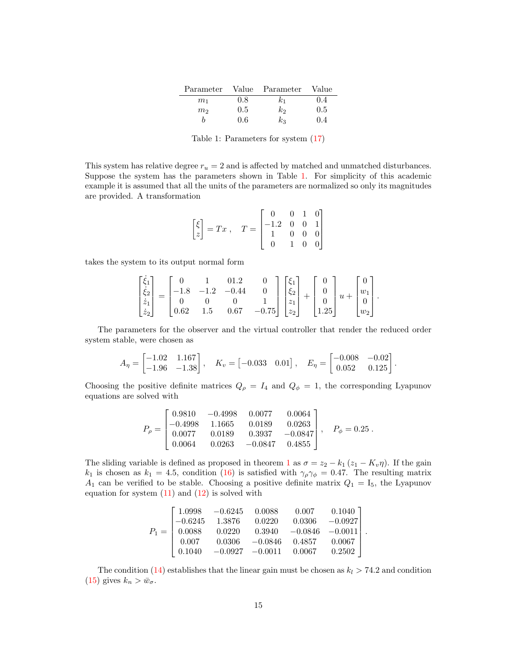|                |               | Parameter Value Parameter | Value   |
|----------------|---------------|---------------------------|---------|
| m <sub>1</sub> | 0.8           | $k_{1}$                   | 0.4     |
| m <sub>2</sub> | $0.5^{\circ}$ | k <sub>2</sub>            | $0.5\,$ |
|                | 0.6           | $k_3$                     | 0.4     |

<span id="page-13-0"></span>Table 1: Parameters for system [\(17\)](#page-12-1)

This system has relative degree  $r_u = 2$  and is affected by matched and unmatched disturbances. Suppose the system has the parameters shown in Table [1.](#page-13-0) For simplicity of this academic example it is assumed that all the units of the parameters are normalized so only its magnitudes are provided. A transformation

$$
\begin{bmatrix} \xi \\ z \end{bmatrix} = Tx \,, \quad T = \begin{bmatrix} 0 & 0 & 1 & 0 \\ -1.2 & 0 & 0 & 1 \\ 1 & 0 & 0 & 0 \\ 0 & 1 & 0 & 0 \end{bmatrix}
$$

takes the system to its output normal form

$$
\begin{bmatrix} \dot{\xi}_1\\ \dot{\xi}_2\\ \dot{z}_1\\ \dot{z}_2 \end{bmatrix}=\begin{bmatrix} 0 & 1 & 01.2 & 0 \\ -1.8 & -1.2 & -0.44 & 0 \\ 0 & 0 & 0 & 1 \\ 0.62 & 1.5 & 0.67 & -0.75 \end{bmatrix}\begin{bmatrix} \xi_1\\ \xi_2\\ z_1\\ z_2 \end{bmatrix}+\begin{bmatrix} 0\\ 0\\ 0\\ 1.25 \end{bmatrix}u+\begin{bmatrix} 0\\ w_1\\ 0\\ w_2 \end{bmatrix}
$$

.

The parameters for the observer and the virtual controller that render the reduced order system stable, were chosen as

$$
A_{\eta} = \begin{bmatrix} -1.02 & 1.167 \\ -1.96 & -1.38 \end{bmatrix}, \quad K_{\upsilon} = \begin{bmatrix} -0.033 & 0.01 \end{bmatrix}, \quad E_{\eta} = \begin{bmatrix} -0.008 & -0.02 \\ 0.052 & 0.125 \end{bmatrix}.
$$

Choosing the positive definite matrices  $Q_{\rho} = I_4$  and  $Q_{\phi} = 1$ , the corresponding Lyapunov equations are solved with

$$
P_{\rho} = \begin{bmatrix} 0.9810 & -0.4998 & 0.0077 & 0.0064 \\ -0.4998 & 1.1665 & 0.0189 & 0.0263 \\ 0.0077 & 0.0189 & 0.3937 & -0.0847 \\ 0.0064 & 0.0263 & -0.0847 & 0.4855 \end{bmatrix}, \quad P_{\phi} = 0.25.
$$

The sliding variable is defined as proposed in theorem [1](#page-11-0) as  $\sigma = z_2 - k_1 (z_1 - K_v \eta)$ . If the gain k<sub>1</sub> is chosen as  $k_1 = 4.5$ , condition [\(16\)](#page-12-2) is satisfied with  $\gamma_\rho \gamma_\phi = 0.47$ . The resulting matrix  $A_1$  can be verified to be stable. Choosing a positive definite matrix  $Q_1 = I_5$ , the Lyapunov equation for system  $(11)$  and  $(12)$  is solved with

$$
P_1 = \begin{bmatrix} 1.0998 & -0.6245 & 0.0088 & 0.007 & 0.1040 \\ -0.6245 & 1.3876 & 0.0220 & 0.0306 & -0.0927 \\ 0.0088 & 0.0220 & 0.3940 & -0.0846 & -0.0011 \\ 0.007 & 0.0306 & -0.0846 & 0.4857 & 0.0067 \\ 0.1040 & -0.0927 & -0.0011 & 0.0067 & 0.2502 \end{bmatrix}.
$$

The condition [\(14\)](#page-12-3) establishes that the linear gain must be chosen as  $k_l > 74.2$  and condition [\(15\)](#page-12-4) gives  $k_n > \bar{w}_{\sigma}$ .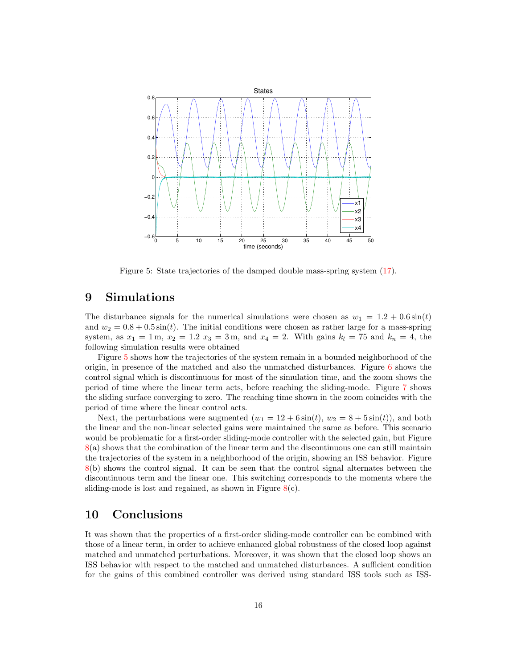

<span id="page-14-0"></span>Figure 5: State trajectories of the damped double mass-spring system [\(17\)](#page-12-1).

#### 9 Simulations

The disturbance signals for the numerical simulations were chosen as  $w_1 = 1.2 + 0.6 \sin(t)$ and  $w_2 = 0.8 + 0.5 \sin(t)$ . The initial conditions were chosen as rather large for a mass-spring system, as  $x_1 = 1$  m,  $x_2 = 1.2$   $x_3 = 3$  m, and  $x_4 = 2$ . With gains  $k_l = 75$  and  $k_n = 4$ , the following simulation results were obtained

Figure [5](#page-14-0) shows how the trajectories of the system remain in a bounded neighborhood of the origin, in presence of the matched and also the unmatched disturbances. Figure [6](#page-15-0) shows the control signal which is discontinuous for most of the simulation time, and the zoom shows the period of time where the linear term acts, before reaching the sliding-mode. Figure [7](#page-15-1) shows the sliding surface converging to zero. The reaching time shown in the zoom coincides with the period of time where the linear control acts.

Next, the perturbations were augmented  $(w_1 = 12 + 6\sin(t), w_2 = 8 + 5\sin(t))$ , and both the linear and the non-linear selected gains were maintained the same as before. This scenario would be problematic for a first-order sliding-mode controller with the selected gain, but Figure [8\(](#page-16-0)a) shows that the combination of the linear term and the discontinuous one can still maintain the trajectories of the system in a neighborhood of the origin, showing an ISS behavior. Figure [8\(](#page-16-0)b) shows the control signal. It can be seen that the control signal alternates between the discontinuous term and the linear one. This switching corresponds to the moments where the sliding-mode is lost and regained, as shown in Figure  $8(c)$  $8(c)$ .

#### 10 Conclusions

It was shown that the properties of a first-order sliding-mode controller can be combined with those of a linear term, in order to achieve enhanced global robustness of the closed loop against matched and unmatched perturbations. Moreover, it was shown that the closed loop shows an ISS behavior with respect to the matched and unmatched disturbances. A sufficient condition for the gains of this combined controller was derived using standard ISS tools such as ISS-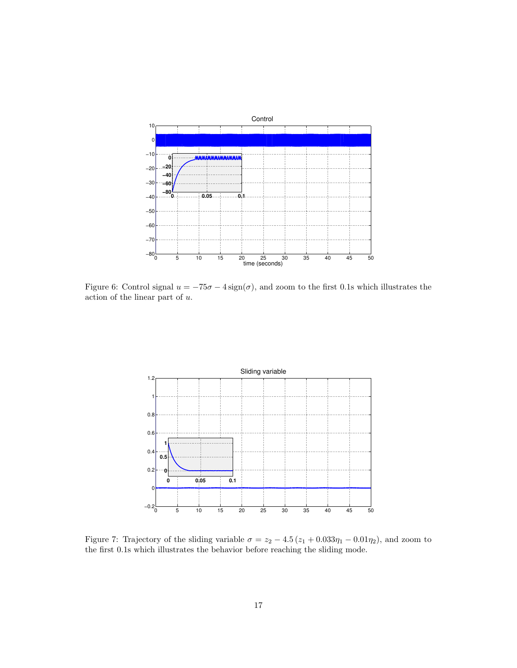

<span id="page-15-0"></span>Figure 6: Control signal  $u = -75\sigma - 4\,\text{sign}(\sigma)$ , and zoom to the first 0.1s which illustrates the action of the linear part of u.



<span id="page-15-1"></span>Figure 7: Trajectory of the sliding variable  $\sigma = z_2 - 4.5 (z_1 + 0.033\eta_1 - 0.01\eta_2)$ , and zoom to the first 0.1s which illustrates the behavior before reaching the sliding mode.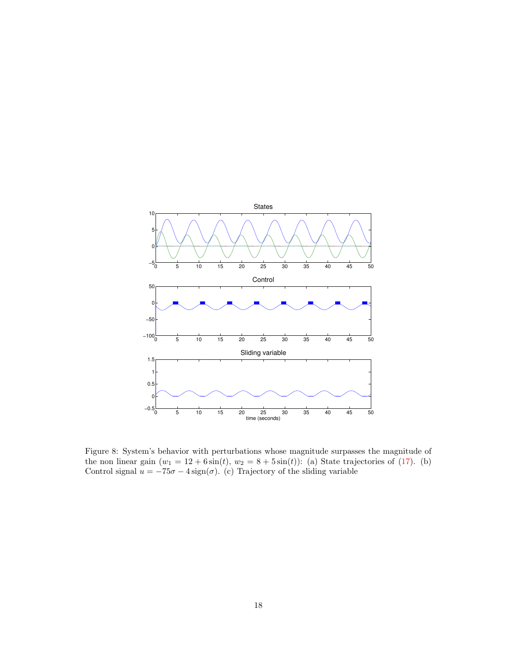

<span id="page-16-0"></span>Figure 8: System's behavior with perturbations whose magnitude surpasses the magnitude of the non linear gain  $(w_1 = 12 + 6\sin(t), w_2 = 8 + 5\sin(t))$ : (a) State trajectories of [\(17\)](#page-12-1). (b) Control signal  $u = -75\sigma - 4 \operatorname{sign}(\sigma)$ . (c) Trajectory of the sliding variable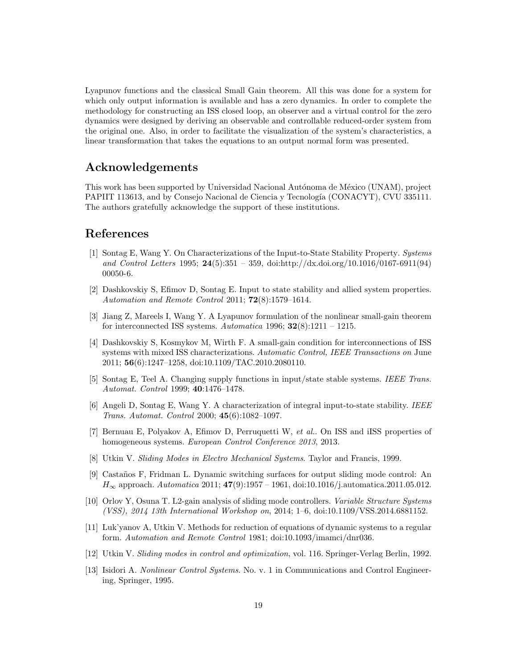Lyapunov functions and the classical Small Gain theorem. All this was done for a system for which only output information is available and has a zero dynamics. In order to complete the methodology for constructing an ISS closed loop, an observer and a virtual control for the zero dynamics were designed by deriving an observable and controllable reduced-order system from the original one. Also, in order to facilitate the visualization of the system's characteristics, a linear transformation that takes the equations to an output normal form was presented.

#### Acknowledgements

This work has been supported by Universidad Nacional Autónoma de México (UNAM), project PAPIIT 113613, and by Consejo Nacional de Ciencia y Tecnología (CONACYT), CVU 335111. The authors gratefully acknowledge the support of these institutions.

#### References

- <span id="page-17-0"></span>[1] Sontag E, Wang Y. On Characterizations of the Input-to-State Stability Property. Systems and Control Letters 1995; 24(5):351 – 359, doi:http://dx.doi.org/10.1016/0167-6911(94) 00050-6.
- <span id="page-17-1"></span>[2] Dashkovskiy S, Efimov D, Sontag E. Input to state stability and allied system properties. Automation and Remote Control 2011; 72(8):1579–1614.
- <span id="page-17-2"></span>[3] Jiang Z, Mareels I, Wang Y. A Lyapunov formulation of the nonlinear small-gain theorem for interconnected ISS systems. Automatica 1996;  $32(8):1211 - 1215$ .
- <span id="page-17-3"></span>[4] Dashkovskiy S, Kosmykov M, Wirth F. A small-gain condition for interconnections of ISS systems with mixed ISS characterizations. Automatic Control, IEEE Transactions on June 2011; 56(6):1247–1258, doi:10.1109/TAC.2010.2080110.
- <span id="page-17-4"></span>[5] Sontag E, Teel A. Changing supply functions in input/state stable systems. IEEE Trans. Automat. Control 1999; 40:1476–1478.
- <span id="page-17-5"></span>[6] Angeli D, Sontag E, Wang Y. A characterization of integral input-to-state stability. IEEE Trans. Automat. Control 2000; 45(6):1082–1097.
- <span id="page-17-6"></span>[7] Bernuau E, Polyakov A, Efimov D, Perruquetti W, et al.. On ISS and iISS properties of homogeneous systems. European Control Conference 2013, 2013.
- <span id="page-17-7"></span>[8] Utkin V. Sliding Modes in Electro Mechanical Systems. Taylor and Francis, 1999.
- <span id="page-17-8"></span>[9] Casta˜nos F, Fridman L. Dynamic switching surfaces for output sliding mode control: An  $H_{\infty}$  approach. Automatica 2011;  $47(9):1957 - 1961$ , doi:10.1016/j.automatica.2011.05.012.
- <span id="page-17-9"></span>[10] Orlov Y, Osuna T. L2-gain analysis of sliding mode controllers. Variable Structure Systems (VSS), 2014 13th International Workshop on, 2014; 1–6, doi:10.1109/VSS.2014.6881152.
- <span id="page-17-10"></span>[11] Luk'yanov A, Utkin V. Methods for reduction of equations of dynamic systems to a regular form. Automation and Remote Control 1981; doi:10.1093/imamci/dnr036.
- <span id="page-17-11"></span>[12] Utkin V. Sliding modes in control and optimization, vol. 116. Springer-Verlag Berlin, 1992.
- <span id="page-17-12"></span>[13] Isidori A. Nonlinear Control Systems. No. v. 1 in Communications and Control Engineering, Springer, 1995.